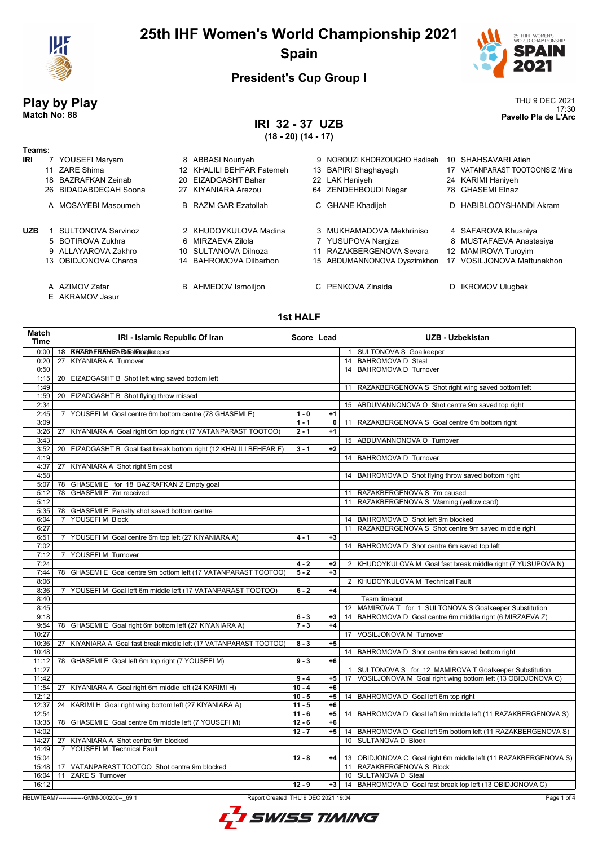

# **25th IHF Women's World Championship 2021 Spain**



# **President's Cup Group I**

# **IRI 32 - 37 UZB (18 - 20) (14 - 17)**

**Play by Play**<br>Match No: 88<br>Pavello Pla de L'Arc 17:30 **Match No: 88 Pavello Pla de L'Arc**

| Teams:     |                                   |                             |    |                              |                                |
|------------|-----------------------------------|-----------------------------|----|------------------------------|--------------------------------|
| IRI        | 7 YOUSEFI Maryam                  | 8 ABBASI Nouriyeh           |    | 9 NOROUZI KHORZOUGHO Hadiseh | 10 SHAHSAVARI Atieh            |
|            | 11 ZARE Shima                     | 12 KHALILI BEHFAR Fatemeh   |    | 13 BAPIRI Shaghayegh         | 17 VATANPARAST TOOTOONSIZ Mina |
|            | 18 BAZRAFKAN Zeinab               | 20 EIZADGASHT Bahar         |    | 22 LAK Haniyeh               | 24 KARIMI Haniyeh              |
|            | 26 BIDADABDEGAH Soona             | 27 KIYANIARA Arezou         |    | 64 ZENDEHBOUDI Negar         | 78 GHASEMI Elnaz               |
|            | A MOSAYEBI Masoumeh               | <b>B</b> RAZM GAR Ezatollah |    | C GHANE Khadijeh             | D HABIBLOOYSHANDI Akram        |
| <b>UZB</b> | <b>SULTONOVA Sarvinoz</b>         | 2 KHUDOYKULOVA Madina       |    | 3 MUKHAMADOVA Mekhriniso     | 4 SAFAROVA Khusniya            |
|            | 5 BOTIROVA Zukhra                 | 6 MIRZAEVA Zilola           |    | 7 YUSUPOVA Nargiza           | 8 MUSTAFAEVA Anastasiya        |
|            | 9 ALLAYAROVA Zakhro               | 10 SULTANOVA Dilnoza        | 11 | RAZAKBERGENOVA Sevara        | 12 MAMIROVA Turoyim            |
|            | 13 OBIDJONOVA Charos              | 14 BAHROMOVA Dilbarhon      |    | 15 ABDUMANNONOVA Oyazimkhon  | 17 VOSILJONOVA Maftunakhon     |
|            | A AZIMOV Zafar<br>E AKRAMOV Jasur | <b>B</b> AHMEDOV Ismoiljon  |    | C PENKOVA Zinaida            | D IKROMOV Ulugbek              |

### **1st HALF**

| 0:00<br>12 BANZIRALF BAEN FZA RG oFall@eegbleeeper<br>1 SULTONOVA S Goalkeeper<br>14 BAHROMOVA D Steal<br>27 KIYANIARA A Turnover<br>0:20<br>14 BAHROMOVA D Turnover<br>0:50<br>1:15<br>20 EIZADGASHT B Shot left wing saved bottom left<br>1:49<br>RAZAKBERGENOVA S Shot right wing saved bottom left<br>11<br>1:59<br>20 EIZADGASHT B Shot flying throw missed<br>2:34<br>15 ABDUMANNONOVA O Shot centre 9m saved top right<br>2:45<br>7 YOUSEFI M Goal centre 6m bottom centre (78 GHASEMI E)<br>$1 - 0$<br>$+1$<br>$1 - 1$<br>0<br>RAZAKBERGENOVA S Goal centre 6m bottom right<br>3:09<br>11<br>KIYANIARA A Goal right 6m top right (17 VATANPARAST TOOTOO)<br>$2 - 1$<br>$+1$<br>3:26<br>27<br>3:43<br>15 ABDUMANNONOVA O Turnover<br>3:52<br>20 EIZADGASHT B Goal fast break bottom right (12 KHALILI BEHFAR F)<br>$3 - 1$<br>$+2$<br>4:19<br>14 BAHROMOVA D Turnover<br>4:37<br>27 KIYANIARA A Shot right 9m post<br>4:58<br>14 BAHROMOVA D Shot flying throw saved bottom right<br>78 GHASEMI E for 18 BAZRAFKAN Z Empty goal<br>5:07<br>78 GHASEMI E 7m received<br>11 RAZAKBERGENOVA S 7m caused<br>5:12<br>11 RAZAKBERGENOVA S Warning (yellow card)<br>5:12<br>5:35<br>78 GHASEMI E Penalty shot saved bottom centre<br>YOUSEFI M Block<br>14 BAHROMOVA D Shot left 9m blocked<br>6:04<br>$7^{\circ}$<br>11 RAZAKBERGENOVA S Shot centre 9m saved middle right<br>6:27<br>6:51<br>7 YOUSEFI M Goal centre 6m top left (27 KIYANIARA A)<br>$+3$<br>$4 - 1$<br>7:02<br>14 BAHROMOVA D Shot centre 6m saved top left<br>7 YOUSEFIM Turnover<br>7:12<br>7:24<br>$4 - 2$<br>$+2$<br>2 KHUDOYKULOVA M Goal fast break middle right (7 YUSUPOVA N)<br>7:44<br>78 GHASEMI E Goal centre 9m bottom left (17 VATANPARAST TOOTOO)<br>$5 - 2$<br>$+3$<br>2 KHUDOYKULOVA M Technical Fault<br>8:06<br>7 YOUSEFIM Goal left 6m middle left (17 VATANPARAST TOOTOO)<br>$6 - 2$<br>$+4$<br>8:36<br>8:40<br>Team timeout<br>12 MAMIROVA T for 1 SULTONOVA S Goalkeeper Substitution<br>8:45<br>14 BAHROMOVA D Goal centre 6m middle right (6 MIRZAEVA Z)<br>9:18<br>$6 - 3$<br>$+3$<br>$7 - 3$<br>$+4$<br>9:54<br>78 GHASEMI E Goal right 6m bottom left (27 KIYANIARA A)<br>10:27<br>17 VOSILJONOVA M Turnover<br>10:36<br>KIYANIARA A Goal fast break middle left (17 VATANPARAST TOOTOO)<br>$+5$<br>27<br>$8 - 3$<br>10:48<br>14 BAHROMOVA D Shot centre 6m saved bottom right<br>11:12<br>78 GHASEMI E Goal left 6m top right (7 YOUSEFI M)<br>$9 - 3$<br>$+6$<br>11:27<br>1 SULTONOVA S for 12 MAMIROVA T Goalkeeper Substitution<br>11:42<br>17 VOSILJONOVA M Goal right wing bottom left (13 OBIDJONOVA C)<br>$9 - 4$<br>$+5$<br>$+6$<br>11:54<br>27 KIYANIARA A Goal right 6m middle left (24 KARIMI H)<br>$10 - 4$<br>$+5$<br>12:12<br>$10 - 5$<br>14 BAHROMOVA D Goal left 6m top right<br>KARIMI H Goal right wing bottom left (27 KIYANIARA A)<br>$11 - 5$<br>$+6$<br>12:37<br>24<br>12:54<br>$11 - 6$<br>$+5$<br>14 BAHROMOVA D Goal left 9m middle left (11 RAZAKBERGENOVA S)<br>13:35<br>78 GHASEMI E Goal centre 6m middle left (7 YOUSEFI M)<br>$12 - 6$<br>$+6$<br>14:02<br>$12 - 7$<br>$+5$<br>14 BAHROMOVA D Goal left 9m bottom left (11 RAZAKBERGENOVA S)<br>10 SULTANOVA D Block<br>14:27<br>27<br>KIYANIARA A Shot centre 9m blocked<br>14:49<br>7 YOUSEFI M Technical Fault<br>15:04<br>13 OBIDJONOVA C Goal right 6m middle left (11 RAZAKBERGENOVA S)<br>$12 - 8$<br>+4<br>11 RAZAKBERGENOVA S Block<br>15:48<br>17 VATANPARAST TOOTOO Shot centre 9m blocked<br>11 ZARE S Turnover<br>10 SULTANOVA D Steal<br>16:04<br>16:12<br>$12 - 9$<br>14 BAHROMOVA D Goal fast break top left (13 OBIDJONOVA C)<br>$+3$ | <b>Match</b><br><b>Time</b> | IRI - Islamic Republic Of Iran | Score Lead | <b>UZB - Uzbekistan</b> |
|---------------------------------------------------------------------------------------------------------------------------------------------------------------------------------------------------------------------------------------------------------------------------------------------------------------------------------------------------------------------------------------------------------------------------------------------------------------------------------------------------------------------------------------------------------------------------------------------------------------------------------------------------------------------------------------------------------------------------------------------------------------------------------------------------------------------------------------------------------------------------------------------------------------------------------------------------------------------------------------------------------------------------------------------------------------------------------------------------------------------------------------------------------------------------------------------------------------------------------------------------------------------------------------------------------------------------------------------------------------------------------------------------------------------------------------------------------------------------------------------------------------------------------------------------------------------------------------------------------------------------------------------------------------------------------------------------------------------------------------------------------------------------------------------------------------------------------------------------------------------------------------------------------------------------------------------------------------------------------------------------------------------------------------------------------------------------------------------------------------------------------------------------------------------------------------------------------------------------------------------------------------------------------------------------------------------------------------------------------------------------------------------------------------------------------------------------------------------------------------------------------------------------------------------------------------------------------------------------------------------------------------------------------------------------------------------------------------------------------------------------------------------------------------------------------------------------------------------------------------------------------------------------------------------------------------------------------------------------------------------------------------------------------------------------------------------------------------------------------------------------------------------------------------------------------------------------------------------------------------------------------------------------------------------------------------------------------------------------------------------------------------------------------------------------------------------------------------------------------------------------------------------------------------------------------------------------------------------------------------------------------------|-----------------------------|--------------------------------|------------|-------------------------|
|                                                                                                                                                                                                                                                                                                                                                                                                                                                                                                                                                                                                                                                                                                                                                                                                                                                                                                                                                                                                                                                                                                                                                                                                                                                                                                                                                                                                                                                                                                                                                                                                                                                                                                                                                                                                                                                                                                                                                                                                                                                                                                                                                                                                                                                                                                                                                                                                                                                                                                                                                                                                                                                                                                                                                                                                                                                                                                                                                                                                                                                                                                                                                                                                                                                                                                                                                                                                                                                                                                                                                                                                                                       |                             |                                |            |                         |
|                                                                                                                                                                                                                                                                                                                                                                                                                                                                                                                                                                                                                                                                                                                                                                                                                                                                                                                                                                                                                                                                                                                                                                                                                                                                                                                                                                                                                                                                                                                                                                                                                                                                                                                                                                                                                                                                                                                                                                                                                                                                                                                                                                                                                                                                                                                                                                                                                                                                                                                                                                                                                                                                                                                                                                                                                                                                                                                                                                                                                                                                                                                                                                                                                                                                                                                                                                                                                                                                                                                                                                                                                                       |                             |                                |            |                         |
|                                                                                                                                                                                                                                                                                                                                                                                                                                                                                                                                                                                                                                                                                                                                                                                                                                                                                                                                                                                                                                                                                                                                                                                                                                                                                                                                                                                                                                                                                                                                                                                                                                                                                                                                                                                                                                                                                                                                                                                                                                                                                                                                                                                                                                                                                                                                                                                                                                                                                                                                                                                                                                                                                                                                                                                                                                                                                                                                                                                                                                                                                                                                                                                                                                                                                                                                                                                                                                                                                                                                                                                                                                       |                             |                                |            |                         |
|                                                                                                                                                                                                                                                                                                                                                                                                                                                                                                                                                                                                                                                                                                                                                                                                                                                                                                                                                                                                                                                                                                                                                                                                                                                                                                                                                                                                                                                                                                                                                                                                                                                                                                                                                                                                                                                                                                                                                                                                                                                                                                                                                                                                                                                                                                                                                                                                                                                                                                                                                                                                                                                                                                                                                                                                                                                                                                                                                                                                                                                                                                                                                                                                                                                                                                                                                                                                                                                                                                                                                                                                                                       |                             |                                |            |                         |
|                                                                                                                                                                                                                                                                                                                                                                                                                                                                                                                                                                                                                                                                                                                                                                                                                                                                                                                                                                                                                                                                                                                                                                                                                                                                                                                                                                                                                                                                                                                                                                                                                                                                                                                                                                                                                                                                                                                                                                                                                                                                                                                                                                                                                                                                                                                                                                                                                                                                                                                                                                                                                                                                                                                                                                                                                                                                                                                                                                                                                                                                                                                                                                                                                                                                                                                                                                                                                                                                                                                                                                                                                                       |                             |                                |            |                         |
|                                                                                                                                                                                                                                                                                                                                                                                                                                                                                                                                                                                                                                                                                                                                                                                                                                                                                                                                                                                                                                                                                                                                                                                                                                                                                                                                                                                                                                                                                                                                                                                                                                                                                                                                                                                                                                                                                                                                                                                                                                                                                                                                                                                                                                                                                                                                                                                                                                                                                                                                                                                                                                                                                                                                                                                                                                                                                                                                                                                                                                                                                                                                                                                                                                                                                                                                                                                                                                                                                                                                                                                                                                       |                             |                                |            |                         |
|                                                                                                                                                                                                                                                                                                                                                                                                                                                                                                                                                                                                                                                                                                                                                                                                                                                                                                                                                                                                                                                                                                                                                                                                                                                                                                                                                                                                                                                                                                                                                                                                                                                                                                                                                                                                                                                                                                                                                                                                                                                                                                                                                                                                                                                                                                                                                                                                                                                                                                                                                                                                                                                                                                                                                                                                                                                                                                                                                                                                                                                                                                                                                                                                                                                                                                                                                                                                                                                                                                                                                                                                                                       |                             |                                |            |                         |
|                                                                                                                                                                                                                                                                                                                                                                                                                                                                                                                                                                                                                                                                                                                                                                                                                                                                                                                                                                                                                                                                                                                                                                                                                                                                                                                                                                                                                                                                                                                                                                                                                                                                                                                                                                                                                                                                                                                                                                                                                                                                                                                                                                                                                                                                                                                                                                                                                                                                                                                                                                                                                                                                                                                                                                                                                                                                                                                                                                                                                                                                                                                                                                                                                                                                                                                                                                                                                                                                                                                                                                                                                                       |                             |                                |            |                         |
|                                                                                                                                                                                                                                                                                                                                                                                                                                                                                                                                                                                                                                                                                                                                                                                                                                                                                                                                                                                                                                                                                                                                                                                                                                                                                                                                                                                                                                                                                                                                                                                                                                                                                                                                                                                                                                                                                                                                                                                                                                                                                                                                                                                                                                                                                                                                                                                                                                                                                                                                                                                                                                                                                                                                                                                                                                                                                                                                                                                                                                                                                                                                                                                                                                                                                                                                                                                                                                                                                                                                                                                                                                       |                             |                                |            |                         |
|                                                                                                                                                                                                                                                                                                                                                                                                                                                                                                                                                                                                                                                                                                                                                                                                                                                                                                                                                                                                                                                                                                                                                                                                                                                                                                                                                                                                                                                                                                                                                                                                                                                                                                                                                                                                                                                                                                                                                                                                                                                                                                                                                                                                                                                                                                                                                                                                                                                                                                                                                                                                                                                                                                                                                                                                                                                                                                                                                                                                                                                                                                                                                                                                                                                                                                                                                                                                                                                                                                                                                                                                                                       |                             |                                |            |                         |
|                                                                                                                                                                                                                                                                                                                                                                                                                                                                                                                                                                                                                                                                                                                                                                                                                                                                                                                                                                                                                                                                                                                                                                                                                                                                                                                                                                                                                                                                                                                                                                                                                                                                                                                                                                                                                                                                                                                                                                                                                                                                                                                                                                                                                                                                                                                                                                                                                                                                                                                                                                                                                                                                                                                                                                                                                                                                                                                                                                                                                                                                                                                                                                                                                                                                                                                                                                                                                                                                                                                                                                                                                                       |                             |                                |            |                         |
|                                                                                                                                                                                                                                                                                                                                                                                                                                                                                                                                                                                                                                                                                                                                                                                                                                                                                                                                                                                                                                                                                                                                                                                                                                                                                                                                                                                                                                                                                                                                                                                                                                                                                                                                                                                                                                                                                                                                                                                                                                                                                                                                                                                                                                                                                                                                                                                                                                                                                                                                                                                                                                                                                                                                                                                                                                                                                                                                                                                                                                                                                                                                                                                                                                                                                                                                                                                                                                                                                                                                                                                                                                       |                             |                                |            |                         |
|                                                                                                                                                                                                                                                                                                                                                                                                                                                                                                                                                                                                                                                                                                                                                                                                                                                                                                                                                                                                                                                                                                                                                                                                                                                                                                                                                                                                                                                                                                                                                                                                                                                                                                                                                                                                                                                                                                                                                                                                                                                                                                                                                                                                                                                                                                                                                                                                                                                                                                                                                                                                                                                                                                                                                                                                                                                                                                                                                                                                                                                                                                                                                                                                                                                                                                                                                                                                                                                                                                                                                                                                                                       |                             |                                |            |                         |
|                                                                                                                                                                                                                                                                                                                                                                                                                                                                                                                                                                                                                                                                                                                                                                                                                                                                                                                                                                                                                                                                                                                                                                                                                                                                                                                                                                                                                                                                                                                                                                                                                                                                                                                                                                                                                                                                                                                                                                                                                                                                                                                                                                                                                                                                                                                                                                                                                                                                                                                                                                                                                                                                                                                                                                                                                                                                                                                                                                                                                                                                                                                                                                                                                                                                                                                                                                                                                                                                                                                                                                                                                                       |                             |                                |            |                         |
|                                                                                                                                                                                                                                                                                                                                                                                                                                                                                                                                                                                                                                                                                                                                                                                                                                                                                                                                                                                                                                                                                                                                                                                                                                                                                                                                                                                                                                                                                                                                                                                                                                                                                                                                                                                                                                                                                                                                                                                                                                                                                                                                                                                                                                                                                                                                                                                                                                                                                                                                                                                                                                                                                                                                                                                                                                                                                                                                                                                                                                                                                                                                                                                                                                                                                                                                                                                                                                                                                                                                                                                                                                       |                             |                                |            |                         |
|                                                                                                                                                                                                                                                                                                                                                                                                                                                                                                                                                                                                                                                                                                                                                                                                                                                                                                                                                                                                                                                                                                                                                                                                                                                                                                                                                                                                                                                                                                                                                                                                                                                                                                                                                                                                                                                                                                                                                                                                                                                                                                                                                                                                                                                                                                                                                                                                                                                                                                                                                                                                                                                                                                                                                                                                                                                                                                                                                                                                                                                                                                                                                                                                                                                                                                                                                                                                                                                                                                                                                                                                                                       |                             |                                |            |                         |
|                                                                                                                                                                                                                                                                                                                                                                                                                                                                                                                                                                                                                                                                                                                                                                                                                                                                                                                                                                                                                                                                                                                                                                                                                                                                                                                                                                                                                                                                                                                                                                                                                                                                                                                                                                                                                                                                                                                                                                                                                                                                                                                                                                                                                                                                                                                                                                                                                                                                                                                                                                                                                                                                                                                                                                                                                                                                                                                                                                                                                                                                                                                                                                                                                                                                                                                                                                                                                                                                                                                                                                                                                                       |                             |                                |            |                         |
|                                                                                                                                                                                                                                                                                                                                                                                                                                                                                                                                                                                                                                                                                                                                                                                                                                                                                                                                                                                                                                                                                                                                                                                                                                                                                                                                                                                                                                                                                                                                                                                                                                                                                                                                                                                                                                                                                                                                                                                                                                                                                                                                                                                                                                                                                                                                                                                                                                                                                                                                                                                                                                                                                                                                                                                                                                                                                                                                                                                                                                                                                                                                                                                                                                                                                                                                                                                                                                                                                                                                                                                                                                       |                             |                                |            |                         |
|                                                                                                                                                                                                                                                                                                                                                                                                                                                                                                                                                                                                                                                                                                                                                                                                                                                                                                                                                                                                                                                                                                                                                                                                                                                                                                                                                                                                                                                                                                                                                                                                                                                                                                                                                                                                                                                                                                                                                                                                                                                                                                                                                                                                                                                                                                                                                                                                                                                                                                                                                                                                                                                                                                                                                                                                                                                                                                                                                                                                                                                                                                                                                                                                                                                                                                                                                                                                                                                                                                                                                                                                                                       |                             |                                |            |                         |
|                                                                                                                                                                                                                                                                                                                                                                                                                                                                                                                                                                                                                                                                                                                                                                                                                                                                                                                                                                                                                                                                                                                                                                                                                                                                                                                                                                                                                                                                                                                                                                                                                                                                                                                                                                                                                                                                                                                                                                                                                                                                                                                                                                                                                                                                                                                                                                                                                                                                                                                                                                                                                                                                                                                                                                                                                                                                                                                                                                                                                                                                                                                                                                                                                                                                                                                                                                                                                                                                                                                                                                                                                                       |                             |                                |            |                         |
|                                                                                                                                                                                                                                                                                                                                                                                                                                                                                                                                                                                                                                                                                                                                                                                                                                                                                                                                                                                                                                                                                                                                                                                                                                                                                                                                                                                                                                                                                                                                                                                                                                                                                                                                                                                                                                                                                                                                                                                                                                                                                                                                                                                                                                                                                                                                                                                                                                                                                                                                                                                                                                                                                                                                                                                                                                                                                                                                                                                                                                                                                                                                                                                                                                                                                                                                                                                                                                                                                                                                                                                                                                       |                             |                                |            |                         |
|                                                                                                                                                                                                                                                                                                                                                                                                                                                                                                                                                                                                                                                                                                                                                                                                                                                                                                                                                                                                                                                                                                                                                                                                                                                                                                                                                                                                                                                                                                                                                                                                                                                                                                                                                                                                                                                                                                                                                                                                                                                                                                                                                                                                                                                                                                                                                                                                                                                                                                                                                                                                                                                                                                                                                                                                                                                                                                                                                                                                                                                                                                                                                                                                                                                                                                                                                                                                                                                                                                                                                                                                                                       |                             |                                |            |                         |
|                                                                                                                                                                                                                                                                                                                                                                                                                                                                                                                                                                                                                                                                                                                                                                                                                                                                                                                                                                                                                                                                                                                                                                                                                                                                                                                                                                                                                                                                                                                                                                                                                                                                                                                                                                                                                                                                                                                                                                                                                                                                                                                                                                                                                                                                                                                                                                                                                                                                                                                                                                                                                                                                                                                                                                                                                                                                                                                                                                                                                                                                                                                                                                                                                                                                                                                                                                                                                                                                                                                                                                                                                                       |                             |                                |            |                         |
|                                                                                                                                                                                                                                                                                                                                                                                                                                                                                                                                                                                                                                                                                                                                                                                                                                                                                                                                                                                                                                                                                                                                                                                                                                                                                                                                                                                                                                                                                                                                                                                                                                                                                                                                                                                                                                                                                                                                                                                                                                                                                                                                                                                                                                                                                                                                                                                                                                                                                                                                                                                                                                                                                                                                                                                                                                                                                                                                                                                                                                                                                                                                                                                                                                                                                                                                                                                                                                                                                                                                                                                                                                       |                             |                                |            |                         |
|                                                                                                                                                                                                                                                                                                                                                                                                                                                                                                                                                                                                                                                                                                                                                                                                                                                                                                                                                                                                                                                                                                                                                                                                                                                                                                                                                                                                                                                                                                                                                                                                                                                                                                                                                                                                                                                                                                                                                                                                                                                                                                                                                                                                                                                                                                                                                                                                                                                                                                                                                                                                                                                                                                                                                                                                                                                                                                                                                                                                                                                                                                                                                                                                                                                                                                                                                                                                                                                                                                                                                                                                                                       |                             |                                |            |                         |
|                                                                                                                                                                                                                                                                                                                                                                                                                                                                                                                                                                                                                                                                                                                                                                                                                                                                                                                                                                                                                                                                                                                                                                                                                                                                                                                                                                                                                                                                                                                                                                                                                                                                                                                                                                                                                                                                                                                                                                                                                                                                                                                                                                                                                                                                                                                                                                                                                                                                                                                                                                                                                                                                                                                                                                                                                                                                                                                                                                                                                                                                                                                                                                                                                                                                                                                                                                                                                                                                                                                                                                                                                                       |                             |                                |            |                         |
|                                                                                                                                                                                                                                                                                                                                                                                                                                                                                                                                                                                                                                                                                                                                                                                                                                                                                                                                                                                                                                                                                                                                                                                                                                                                                                                                                                                                                                                                                                                                                                                                                                                                                                                                                                                                                                                                                                                                                                                                                                                                                                                                                                                                                                                                                                                                                                                                                                                                                                                                                                                                                                                                                                                                                                                                                                                                                                                                                                                                                                                                                                                                                                                                                                                                                                                                                                                                                                                                                                                                                                                                                                       |                             |                                |            |                         |
|                                                                                                                                                                                                                                                                                                                                                                                                                                                                                                                                                                                                                                                                                                                                                                                                                                                                                                                                                                                                                                                                                                                                                                                                                                                                                                                                                                                                                                                                                                                                                                                                                                                                                                                                                                                                                                                                                                                                                                                                                                                                                                                                                                                                                                                                                                                                                                                                                                                                                                                                                                                                                                                                                                                                                                                                                                                                                                                                                                                                                                                                                                                                                                                                                                                                                                                                                                                                                                                                                                                                                                                                                                       |                             |                                |            |                         |
|                                                                                                                                                                                                                                                                                                                                                                                                                                                                                                                                                                                                                                                                                                                                                                                                                                                                                                                                                                                                                                                                                                                                                                                                                                                                                                                                                                                                                                                                                                                                                                                                                                                                                                                                                                                                                                                                                                                                                                                                                                                                                                                                                                                                                                                                                                                                                                                                                                                                                                                                                                                                                                                                                                                                                                                                                                                                                                                                                                                                                                                                                                                                                                                                                                                                                                                                                                                                                                                                                                                                                                                                                                       |                             |                                |            |                         |
|                                                                                                                                                                                                                                                                                                                                                                                                                                                                                                                                                                                                                                                                                                                                                                                                                                                                                                                                                                                                                                                                                                                                                                                                                                                                                                                                                                                                                                                                                                                                                                                                                                                                                                                                                                                                                                                                                                                                                                                                                                                                                                                                                                                                                                                                                                                                                                                                                                                                                                                                                                                                                                                                                                                                                                                                                                                                                                                                                                                                                                                                                                                                                                                                                                                                                                                                                                                                                                                                                                                                                                                                                                       |                             |                                |            |                         |
|                                                                                                                                                                                                                                                                                                                                                                                                                                                                                                                                                                                                                                                                                                                                                                                                                                                                                                                                                                                                                                                                                                                                                                                                                                                                                                                                                                                                                                                                                                                                                                                                                                                                                                                                                                                                                                                                                                                                                                                                                                                                                                                                                                                                                                                                                                                                                                                                                                                                                                                                                                                                                                                                                                                                                                                                                                                                                                                                                                                                                                                                                                                                                                                                                                                                                                                                                                                                                                                                                                                                                                                                                                       |                             |                                |            |                         |
|                                                                                                                                                                                                                                                                                                                                                                                                                                                                                                                                                                                                                                                                                                                                                                                                                                                                                                                                                                                                                                                                                                                                                                                                                                                                                                                                                                                                                                                                                                                                                                                                                                                                                                                                                                                                                                                                                                                                                                                                                                                                                                                                                                                                                                                                                                                                                                                                                                                                                                                                                                                                                                                                                                                                                                                                                                                                                                                                                                                                                                                                                                                                                                                                                                                                                                                                                                                                                                                                                                                                                                                                                                       |                             |                                |            |                         |
|                                                                                                                                                                                                                                                                                                                                                                                                                                                                                                                                                                                                                                                                                                                                                                                                                                                                                                                                                                                                                                                                                                                                                                                                                                                                                                                                                                                                                                                                                                                                                                                                                                                                                                                                                                                                                                                                                                                                                                                                                                                                                                                                                                                                                                                                                                                                                                                                                                                                                                                                                                                                                                                                                                                                                                                                                                                                                                                                                                                                                                                                                                                                                                                                                                                                                                                                                                                                                                                                                                                                                                                                                                       |                             |                                |            |                         |
|                                                                                                                                                                                                                                                                                                                                                                                                                                                                                                                                                                                                                                                                                                                                                                                                                                                                                                                                                                                                                                                                                                                                                                                                                                                                                                                                                                                                                                                                                                                                                                                                                                                                                                                                                                                                                                                                                                                                                                                                                                                                                                                                                                                                                                                                                                                                                                                                                                                                                                                                                                                                                                                                                                                                                                                                                                                                                                                                                                                                                                                                                                                                                                                                                                                                                                                                                                                                                                                                                                                                                                                                                                       |                             |                                |            |                         |
|                                                                                                                                                                                                                                                                                                                                                                                                                                                                                                                                                                                                                                                                                                                                                                                                                                                                                                                                                                                                                                                                                                                                                                                                                                                                                                                                                                                                                                                                                                                                                                                                                                                                                                                                                                                                                                                                                                                                                                                                                                                                                                                                                                                                                                                                                                                                                                                                                                                                                                                                                                                                                                                                                                                                                                                                                                                                                                                                                                                                                                                                                                                                                                                                                                                                                                                                                                                                                                                                                                                                                                                                                                       |                             |                                |            |                         |
|                                                                                                                                                                                                                                                                                                                                                                                                                                                                                                                                                                                                                                                                                                                                                                                                                                                                                                                                                                                                                                                                                                                                                                                                                                                                                                                                                                                                                                                                                                                                                                                                                                                                                                                                                                                                                                                                                                                                                                                                                                                                                                                                                                                                                                                                                                                                                                                                                                                                                                                                                                                                                                                                                                                                                                                                                                                                                                                                                                                                                                                                                                                                                                                                                                                                                                                                                                                                                                                                                                                                                                                                                                       |                             |                                |            |                         |
|                                                                                                                                                                                                                                                                                                                                                                                                                                                                                                                                                                                                                                                                                                                                                                                                                                                                                                                                                                                                                                                                                                                                                                                                                                                                                                                                                                                                                                                                                                                                                                                                                                                                                                                                                                                                                                                                                                                                                                                                                                                                                                                                                                                                                                                                                                                                                                                                                                                                                                                                                                                                                                                                                                                                                                                                                                                                                                                                                                                                                                                                                                                                                                                                                                                                                                                                                                                                                                                                                                                                                                                                                                       |                             |                                |            |                         |
|                                                                                                                                                                                                                                                                                                                                                                                                                                                                                                                                                                                                                                                                                                                                                                                                                                                                                                                                                                                                                                                                                                                                                                                                                                                                                                                                                                                                                                                                                                                                                                                                                                                                                                                                                                                                                                                                                                                                                                                                                                                                                                                                                                                                                                                                                                                                                                                                                                                                                                                                                                                                                                                                                                                                                                                                                                                                                                                                                                                                                                                                                                                                                                                                                                                                                                                                                                                                                                                                                                                                                                                                                                       |                             |                                |            |                         |
|                                                                                                                                                                                                                                                                                                                                                                                                                                                                                                                                                                                                                                                                                                                                                                                                                                                                                                                                                                                                                                                                                                                                                                                                                                                                                                                                                                                                                                                                                                                                                                                                                                                                                                                                                                                                                                                                                                                                                                                                                                                                                                                                                                                                                                                                                                                                                                                                                                                                                                                                                                                                                                                                                                                                                                                                                                                                                                                                                                                                                                                                                                                                                                                                                                                                                                                                                                                                                                                                                                                                                                                                                                       |                             |                                |            |                         |
|                                                                                                                                                                                                                                                                                                                                                                                                                                                                                                                                                                                                                                                                                                                                                                                                                                                                                                                                                                                                                                                                                                                                                                                                                                                                                                                                                                                                                                                                                                                                                                                                                                                                                                                                                                                                                                                                                                                                                                                                                                                                                                                                                                                                                                                                                                                                                                                                                                                                                                                                                                                                                                                                                                                                                                                                                                                                                                                                                                                                                                                                                                                                                                                                                                                                                                                                                                                                                                                                                                                                                                                                                                       |                             |                                |            |                         |
|                                                                                                                                                                                                                                                                                                                                                                                                                                                                                                                                                                                                                                                                                                                                                                                                                                                                                                                                                                                                                                                                                                                                                                                                                                                                                                                                                                                                                                                                                                                                                                                                                                                                                                                                                                                                                                                                                                                                                                                                                                                                                                                                                                                                                                                                                                                                                                                                                                                                                                                                                                                                                                                                                                                                                                                                                                                                                                                                                                                                                                                                                                                                                                                                                                                                                                                                                                                                                                                                                                                                                                                                                                       |                             |                                |            |                         |
|                                                                                                                                                                                                                                                                                                                                                                                                                                                                                                                                                                                                                                                                                                                                                                                                                                                                                                                                                                                                                                                                                                                                                                                                                                                                                                                                                                                                                                                                                                                                                                                                                                                                                                                                                                                                                                                                                                                                                                                                                                                                                                                                                                                                                                                                                                                                                                                                                                                                                                                                                                                                                                                                                                                                                                                                                                                                                                                                                                                                                                                                                                                                                                                                                                                                                                                                                                                                                                                                                                                                                                                                                                       |                             |                                |            |                         |
|                                                                                                                                                                                                                                                                                                                                                                                                                                                                                                                                                                                                                                                                                                                                                                                                                                                                                                                                                                                                                                                                                                                                                                                                                                                                                                                                                                                                                                                                                                                                                                                                                                                                                                                                                                                                                                                                                                                                                                                                                                                                                                                                                                                                                                                                                                                                                                                                                                                                                                                                                                                                                                                                                                                                                                                                                                                                                                                                                                                                                                                                                                                                                                                                                                                                                                                                                                                                                                                                                                                                                                                                                                       |                             |                                |            |                         |
|                                                                                                                                                                                                                                                                                                                                                                                                                                                                                                                                                                                                                                                                                                                                                                                                                                                                                                                                                                                                                                                                                                                                                                                                                                                                                                                                                                                                                                                                                                                                                                                                                                                                                                                                                                                                                                                                                                                                                                                                                                                                                                                                                                                                                                                                                                                                                                                                                                                                                                                                                                                                                                                                                                                                                                                                                                                                                                                                                                                                                                                                                                                                                                                                                                                                                                                                                                                                                                                                                                                                                                                                                                       |                             |                                |            |                         |
|                                                                                                                                                                                                                                                                                                                                                                                                                                                                                                                                                                                                                                                                                                                                                                                                                                                                                                                                                                                                                                                                                                                                                                                                                                                                                                                                                                                                                                                                                                                                                                                                                                                                                                                                                                                                                                                                                                                                                                                                                                                                                                                                                                                                                                                                                                                                                                                                                                                                                                                                                                                                                                                                                                                                                                                                                                                                                                                                                                                                                                                                                                                                                                                                                                                                                                                                                                                                                                                                                                                                                                                                                                       |                             |                                |            |                         |
|                                                                                                                                                                                                                                                                                                                                                                                                                                                                                                                                                                                                                                                                                                                                                                                                                                                                                                                                                                                                                                                                                                                                                                                                                                                                                                                                                                                                                                                                                                                                                                                                                                                                                                                                                                                                                                                                                                                                                                                                                                                                                                                                                                                                                                                                                                                                                                                                                                                                                                                                                                                                                                                                                                                                                                                                                                                                                                                                                                                                                                                                                                                                                                                                                                                                                                                                                                                                                                                                                                                                                                                                                                       |                             |                                |            |                         |
|                                                                                                                                                                                                                                                                                                                                                                                                                                                                                                                                                                                                                                                                                                                                                                                                                                                                                                                                                                                                                                                                                                                                                                                                                                                                                                                                                                                                                                                                                                                                                                                                                                                                                                                                                                                                                                                                                                                                                                                                                                                                                                                                                                                                                                                                                                                                                                                                                                                                                                                                                                                                                                                                                                                                                                                                                                                                                                                                                                                                                                                                                                                                                                                                                                                                                                                                                                                                                                                                                                                                                                                                                                       |                             |                                |            |                         |
|                                                                                                                                                                                                                                                                                                                                                                                                                                                                                                                                                                                                                                                                                                                                                                                                                                                                                                                                                                                                                                                                                                                                                                                                                                                                                                                                                                                                                                                                                                                                                                                                                                                                                                                                                                                                                                                                                                                                                                                                                                                                                                                                                                                                                                                                                                                                                                                                                                                                                                                                                                                                                                                                                                                                                                                                                                                                                                                                                                                                                                                                                                                                                                                                                                                                                                                                                                                                                                                                                                                                                                                                                                       |                             |                                |            |                         |
|                                                                                                                                                                                                                                                                                                                                                                                                                                                                                                                                                                                                                                                                                                                                                                                                                                                                                                                                                                                                                                                                                                                                                                                                                                                                                                                                                                                                                                                                                                                                                                                                                                                                                                                                                                                                                                                                                                                                                                                                                                                                                                                                                                                                                                                                                                                                                                                                                                                                                                                                                                                                                                                                                                                                                                                                                                                                                                                                                                                                                                                                                                                                                                                                                                                                                                                                                                                                                                                                                                                                                                                                                                       |                             |                                |            |                         |
|                                                                                                                                                                                                                                                                                                                                                                                                                                                                                                                                                                                                                                                                                                                                                                                                                                                                                                                                                                                                                                                                                                                                                                                                                                                                                                                                                                                                                                                                                                                                                                                                                                                                                                                                                                                                                                                                                                                                                                                                                                                                                                                                                                                                                                                                                                                                                                                                                                                                                                                                                                                                                                                                                                                                                                                                                                                                                                                                                                                                                                                                                                                                                                                                                                                                                                                                                                                                                                                                                                                                                                                                                                       |                             |                                |            |                         |

HBLWTEAM7--------------GMM-000200--\_69 1 Report Created THU 9 DEC 2021 19:04

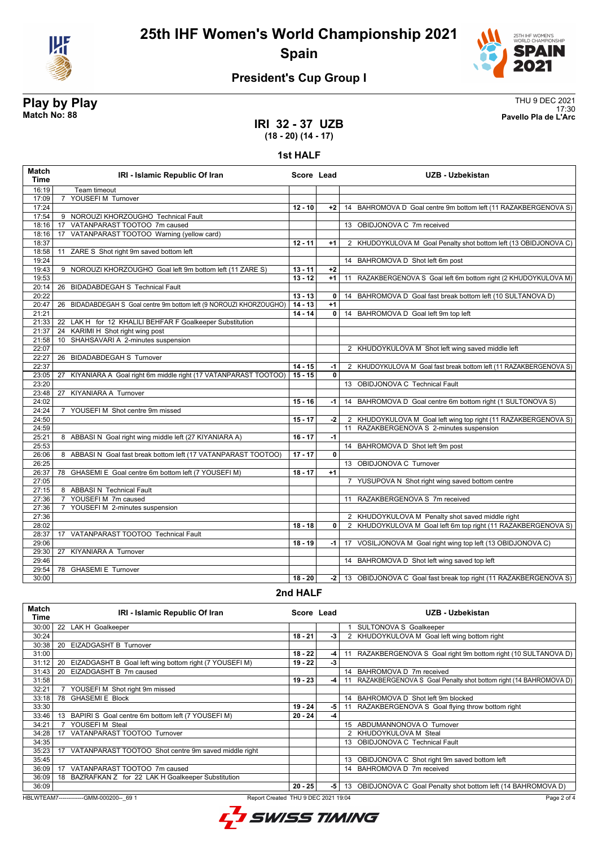



# **President's Cup Group I**

**Play by Play**<br>Match No: 88<br>Pavello Pla de L'Arc 17:30 **Match No: 88 Pavello Pla de L'Arc**

Page 2 of 4

### **IRI 32 - 37 UZB (18 - 20) (14 - 17)**

#### **1st HALF**

| 16:19<br>Team timeout<br>YOUSEFIM Turnover<br>17:09<br>$\overline{7}$<br>17:24<br>$12 - 10$<br>$+2$<br>17:54<br>9 NOROUZI KHORZOUGHO Technical Fault<br>VATANPARAST TOOTOO 7m caused<br>13 OBIDJONOVA C 7m received<br>18:16<br>17<br>VATANPARAST TOOTOO Warning (yellow card)<br>18:16<br>17<br>18:37<br>$12 - 11$<br>$+1$<br>2 KHUDOYKULOVA M Goal Penalty shot bottom left (13 OBIDJONOVA C)<br>18:58<br>ZARE S Shot right 9m saved bottom left<br>11<br>19:24<br>14 BAHROMOVA D Shot left 6m post<br>19:43<br>9 NOROUZI KHORZOUGHO Goal left 9m bottom left (11 ZARE S)<br>$13 - 11$<br>$+2$<br>$13 - 12$<br>19:53<br>11 RAZAKBERGENOVA S Goal left 6m bottom right (2 KHUDOYKULOVA M)<br>$+1$<br>20:14<br>26 BIDADABDEGAH S Technical Fault<br>20:22<br>$13 - 13$<br>14 BAHROMOVA D Goal fast break bottom left (10 SULTANOVA D)<br>0<br>20:47<br>26 BIDADABDEGAH S Goal centre 9m bottom left (9 NOROUZI KHORZOUGHO)<br>$14 - 13$<br>$+1$<br>$14 - 14$<br>21:21<br>0<br>14 BAHROMOVA D Goal left 9m top left<br>21:33<br>22 LAK H for 12 KHALILI BEHFAR F Goalkeeper Substitution<br>21:37<br>24 KARIMI H Shot right wing post<br>SHAHSAVARI A 2-minutes suspension<br>21:58<br>10 <sup>°</sup><br>22:07<br>2 KHUDOYKULOVA M Shot left wing saved middle left<br>26 BIDADABDEGAH S Turnover<br>22:27<br>22:37<br>$14 - 15$<br>-1<br>23:05<br>$15 - 15$<br>$\mathbf{0}$<br>KIYANIARA A Goal right 6m middle right (17 VATANPARAST TOOTOO)<br>27<br>23:20<br>13 OBIDJONOVA C Technical Fault<br>23:48<br>27 KIYANIARA A Turnover<br>$15 - 16$<br>24:02<br>14 BAHROMOVA D Goal centre 6m bottom right (1 SULTONOVA S)<br>-1  <br>24:24<br>7 YOUSEFIM Shot centre 9m missed<br>2 KHUDOYKULOVA M Goal left wing top right (11 RAZAKBERGENOVA S)<br>24:50<br>$15 - 17$<br>$-2$<br>11 RAZAKBERGENOVA S 2-minutes suspension<br>24:59<br>8 ABBASI N Goal right wing middle left (27 KIYANIARA A)<br>$16 - 17$<br>25:21<br>$-1$<br>25:53<br>14 BAHROMOVA D Shot left 9m post<br>26:06<br>$17 - 17$<br>$\mathbf{0}$<br>8 ABBASI N Goal fast break bottom left (17 VATANPARAST TOOTOO)<br>13 OBIDJONOVA C Turnover<br>26:25<br>$18 - 17$<br>26:37<br>78 GHASEMI E Goal centre 6m bottom left (7 YOUSEFI M)<br>$+1$<br>7 YUSUPOVA N Shot right wing saved bottom centre<br>27:05<br>27:15<br>8 ABBASI N Technical Fault<br>YOUSEFIM 7m caused<br>27:36<br>11 RAZAKBERGENOVA S 7m received<br>$\overline{7}$<br>27:36<br>YOUSEFI M 2-minutes suspension<br>$\overline{7}$<br>27:36<br>2 KHUDOYKULOVA M Penalty shot saved middle right<br>28:02<br>$18 - 18$<br>0<br>VATANPARAST TOOTOO Technical Fault<br>28:37<br>17<br>29:06<br>$18 - 19$<br>17 VOSILJONOVA M Goal right wing top left (13 OBIDJONOVA C)<br>-1  <br><b>KIYANIARA A Turnover</b><br>29:30<br>27<br>14 BAHROMOVA D Shot left wing saved top left<br>29:46<br>29:54<br><b>GHASEMI E Turnover</b><br>78<br>30:00<br>$18 - 20$<br>-2 | <b>Match</b><br><b>Time</b> | IRI - Islamic Republic Of Iran | Score Lead | <b>UZB - Uzbekistan</b>                                            |
|---------------------------------------------------------------------------------------------------------------------------------------------------------------------------------------------------------------------------------------------------------------------------------------------------------------------------------------------------------------------------------------------------------------------------------------------------------------------------------------------------------------------------------------------------------------------------------------------------------------------------------------------------------------------------------------------------------------------------------------------------------------------------------------------------------------------------------------------------------------------------------------------------------------------------------------------------------------------------------------------------------------------------------------------------------------------------------------------------------------------------------------------------------------------------------------------------------------------------------------------------------------------------------------------------------------------------------------------------------------------------------------------------------------------------------------------------------------------------------------------------------------------------------------------------------------------------------------------------------------------------------------------------------------------------------------------------------------------------------------------------------------------------------------------------------------------------------------------------------------------------------------------------------------------------------------------------------------------------------------------------------------------------------------------------------------------------------------------------------------------------------------------------------------------------------------------------------------------------------------------------------------------------------------------------------------------------------------------------------------------------------------------------------------------------------------------------------------------------------------------------------------------------------------------------------------------------------------------------------------------------------------------------------------------------------------------------------------------------------------------------------------------------------------------------------------------------------------------------------------------------------------------|-----------------------------|--------------------------------|------------|--------------------------------------------------------------------|
|                                                                                                                                                                                                                                                                                                                                                                                                                                                                                                                                                                                                                                                                                                                                                                                                                                                                                                                                                                                                                                                                                                                                                                                                                                                                                                                                                                                                                                                                                                                                                                                                                                                                                                                                                                                                                                                                                                                                                                                                                                                                                                                                                                                                                                                                                                                                                                                                                                                                                                                                                                                                                                                                                                                                                                                                                                                                                             |                             |                                |            |                                                                    |
|                                                                                                                                                                                                                                                                                                                                                                                                                                                                                                                                                                                                                                                                                                                                                                                                                                                                                                                                                                                                                                                                                                                                                                                                                                                                                                                                                                                                                                                                                                                                                                                                                                                                                                                                                                                                                                                                                                                                                                                                                                                                                                                                                                                                                                                                                                                                                                                                                                                                                                                                                                                                                                                                                                                                                                                                                                                                                             |                             |                                |            |                                                                    |
|                                                                                                                                                                                                                                                                                                                                                                                                                                                                                                                                                                                                                                                                                                                                                                                                                                                                                                                                                                                                                                                                                                                                                                                                                                                                                                                                                                                                                                                                                                                                                                                                                                                                                                                                                                                                                                                                                                                                                                                                                                                                                                                                                                                                                                                                                                                                                                                                                                                                                                                                                                                                                                                                                                                                                                                                                                                                                             |                             |                                |            | 14 BAHROMOVA D Goal centre 9m bottom left (11 RAZAKBERGENOVA S)    |
|                                                                                                                                                                                                                                                                                                                                                                                                                                                                                                                                                                                                                                                                                                                                                                                                                                                                                                                                                                                                                                                                                                                                                                                                                                                                                                                                                                                                                                                                                                                                                                                                                                                                                                                                                                                                                                                                                                                                                                                                                                                                                                                                                                                                                                                                                                                                                                                                                                                                                                                                                                                                                                                                                                                                                                                                                                                                                             |                             |                                |            |                                                                    |
|                                                                                                                                                                                                                                                                                                                                                                                                                                                                                                                                                                                                                                                                                                                                                                                                                                                                                                                                                                                                                                                                                                                                                                                                                                                                                                                                                                                                                                                                                                                                                                                                                                                                                                                                                                                                                                                                                                                                                                                                                                                                                                                                                                                                                                                                                                                                                                                                                                                                                                                                                                                                                                                                                                                                                                                                                                                                                             |                             |                                |            |                                                                    |
|                                                                                                                                                                                                                                                                                                                                                                                                                                                                                                                                                                                                                                                                                                                                                                                                                                                                                                                                                                                                                                                                                                                                                                                                                                                                                                                                                                                                                                                                                                                                                                                                                                                                                                                                                                                                                                                                                                                                                                                                                                                                                                                                                                                                                                                                                                                                                                                                                                                                                                                                                                                                                                                                                                                                                                                                                                                                                             |                             |                                |            |                                                                    |
|                                                                                                                                                                                                                                                                                                                                                                                                                                                                                                                                                                                                                                                                                                                                                                                                                                                                                                                                                                                                                                                                                                                                                                                                                                                                                                                                                                                                                                                                                                                                                                                                                                                                                                                                                                                                                                                                                                                                                                                                                                                                                                                                                                                                                                                                                                                                                                                                                                                                                                                                                                                                                                                                                                                                                                                                                                                                                             |                             |                                |            |                                                                    |
|                                                                                                                                                                                                                                                                                                                                                                                                                                                                                                                                                                                                                                                                                                                                                                                                                                                                                                                                                                                                                                                                                                                                                                                                                                                                                                                                                                                                                                                                                                                                                                                                                                                                                                                                                                                                                                                                                                                                                                                                                                                                                                                                                                                                                                                                                                                                                                                                                                                                                                                                                                                                                                                                                                                                                                                                                                                                                             |                             |                                |            |                                                                    |
|                                                                                                                                                                                                                                                                                                                                                                                                                                                                                                                                                                                                                                                                                                                                                                                                                                                                                                                                                                                                                                                                                                                                                                                                                                                                                                                                                                                                                                                                                                                                                                                                                                                                                                                                                                                                                                                                                                                                                                                                                                                                                                                                                                                                                                                                                                                                                                                                                                                                                                                                                                                                                                                                                                                                                                                                                                                                                             |                             |                                |            |                                                                    |
|                                                                                                                                                                                                                                                                                                                                                                                                                                                                                                                                                                                                                                                                                                                                                                                                                                                                                                                                                                                                                                                                                                                                                                                                                                                                                                                                                                                                                                                                                                                                                                                                                                                                                                                                                                                                                                                                                                                                                                                                                                                                                                                                                                                                                                                                                                                                                                                                                                                                                                                                                                                                                                                                                                                                                                                                                                                                                             |                             |                                |            |                                                                    |
|                                                                                                                                                                                                                                                                                                                                                                                                                                                                                                                                                                                                                                                                                                                                                                                                                                                                                                                                                                                                                                                                                                                                                                                                                                                                                                                                                                                                                                                                                                                                                                                                                                                                                                                                                                                                                                                                                                                                                                                                                                                                                                                                                                                                                                                                                                                                                                                                                                                                                                                                                                                                                                                                                                                                                                                                                                                                                             |                             |                                |            |                                                                    |
|                                                                                                                                                                                                                                                                                                                                                                                                                                                                                                                                                                                                                                                                                                                                                                                                                                                                                                                                                                                                                                                                                                                                                                                                                                                                                                                                                                                                                                                                                                                                                                                                                                                                                                                                                                                                                                                                                                                                                                                                                                                                                                                                                                                                                                                                                                                                                                                                                                                                                                                                                                                                                                                                                                                                                                                                                                                                                             |                             |                                |            |                                                                    |
|                                                                                                                                                                                                                                                                                                                                                                                                                                                                                                                                                                                                                                                                                                                                                                                                                                                                                                                                                                                                                                                                                                                                                                                                                                                                                                                                                                                                                                                                                                                                                                                                                                                                                                                                                                                                                                                                                                                                                                                                                                                                                                                                                                                                                                                                                                                                                                                                                                                                                                                                                                                                                                                                                                                                                                                                                                                                                             |                             |                                |            |                                                                    |
|                                                                                                                                                                                                                                                                                                                                                                                                                                                                                                                                                                                                                                                                                                                                                                                                                                                                                                                                                                                                                                                                                                                                                                                                                                                                                                                                                                                                                                                                                                                                                                                                                                                                                                                                                                                                                                                                                                                                                                                                                                                                                                                                                                                                                                                                                                                                                                                                                                                                                                                                                                                                                                                                                                                                                                                                                                                                                             |                             |                                |            |                                                                    |
|                                                                                                                                                                                                                                                                                                                                                                                                                                                                                                                                                                                                                                                                                                                                                                                                                                                                                                                                                                                                                                                                                                                                                                                                                                                                                                                                                                                                                                                                                                                                                                                                                                                                                                                                                                                                                                                                                                                                                                                                                                                                                                                                                                                                                                                                                                                                                                                                                                                                                                                                                                                                                                                                                                                                                                                                                                                                                             |                             |                                |            |                                                                    |
|                                                                                                                                                                                                                                                                                                                                                                                                                                                                                                                                                                                                                                                                                                                                                                                                                                                                                                                                                                                                                                                                                                                                                                                                                                                                                                                                                                                                                                                                                                                                                                                                                                                                                                                                                                                                                                                                                                                                                                                                                                                                                                                                                                                                                                                                                                                                                                                                                                                                                                                                                                                                                                                                                                                                                                                                                                                                                             |                             |                                |            |                                                                    |
|                                                                                                                                                                                                                                                                                                                                                                                                                                                                                                                                                                                                                                                                                                                                                                                                                                                                                                                                                                                                                                                                                                                                                                                                                                                                                                                                                                                                                                                                                                                                                                                                                                                                                                                                                                                                                                                                                                                                                                                                                                                                                                                                                                                                                                                                                                                                                                                                                                                                                                                                                                                                                                                                                                                                                                                                                                                                                             |                             |                                |            |                                                                    |
|                                                                                                                                                                                                                                                                                                                                                                                                                                                                                                                                                                                                                                                                                                                                                                                                                                                                                                                                                                                                                                                                                                                                                                                                                                                                                                                                                                                                                                                                                                                                                                                                                                                                                                                                                                                                                                                                                                                                                                                                                                                                                                                                                                                                                                                                                                                                                                                                                                                                                                                                                                                                                                                                                                                                                                                                                                                                                             |                             |                                |            |                                                                    |
|                                                                                                                                                                                                                                                                                                                                                                                                                                                                                                                                                                                                                                                                                                                                                                                                                                                                                                                                                                                                                                                                                                                                                                                                                                                                                                                                                                                                                                                                                                                                                                                                                                                                                                                                                                                                                                                                                                                                                                                                                                                                                                                                                                                                                                                                                                                                                                                                                                                                                                                                                                                                                                                                                                                                                                                                                                                                                             |                             |                                |            |                                                                    |
|                                                                                                                                                                                                                                                                                                                                                                                                                                                                                                                                                                                                                                                                                                                                                                                                                                                                                                                                                                                                                                                                                                                                                                                                                                                                                                                                                                                                                                                                                                                                                                                                                                                                                                                                                                                                                                                                                                                                                                                                                                                                                                                                                                                                                                                                                                                                                                                                                                                                                                                                                                                                                                                                                                                                                                                                                                                                                             |                             |                                |            |                                                                    |
|                                                                                                                                                                                                                                                                                                                                                                                                                                                                                                                                                                                                                                                                                                                                                                                                                                                                                                                                                                                                                                                                                                                                                                                                                                                                                                                                                                                                                                                                                                                                                                                                                                                                                                                                                                                                                                                                                                                                                                                                                                                                                                                                                                                                                                                                                                                                                                                                                                                                                                                                                                                                                                                                                                                                                                                                                                                                                             |                             |                                |            | 2 KHUDOYKULOVA M Goal fast break bottom left (11 RAZAKBERGENOVA S) |
|                                                                                                                                                                                                                                                                                                                                                                                                                                                                                                                                                                                                                                                                                                                                                                                                                                                                                                                                                                                                                                                                                                                                                                                                                                                                                                                                                                                                                                                                                                                                                                                                                                                                                                                                                                                                                                                                                                                                                                                                                                                                                                                                                                                                                                                                                                                                                                                                                                                                                                                                                                                                                                                                                                                                                                                                                                                                                             |                             |                                |            |                                                                    |
|                                                                                                                                                                                                                                                                                                                                                                                                                                                                                                                                                                                                                                                                                                                                                                                                                                                                                                                                                                                                                                                                                                                                                                                                                                                                                                                                                                                                                                                                                                                                                                                                                                                                                                                                                                                                                                                                                                                                                                                                                                                                                                                                                                                                                                                                                                                                                                                                                                                                                                                                                                                                                                                                                                                                                                                                                                                                                             |                             |                                |            |                                                                    |
|                                                                                                                                                                                                                                                                                                                                                                                                                                                                                                                                                                                                                                                                                                                                                                                                                                                                                                                                                                                                                                                                                                                                                                                                                                                                                                                                                                                                                                                                                                                                                                                                                                                                                                                                                                                                                                                                                                                                                                                                                                                                                                                                                                                                                                                                                                                                                                                                                                                                                                                                                                                                                                                                                                                                                                                                                                                                                             |                             |                                |            |                                                                    |
|                                                                                                                                                                                                                                                                                                                                                                                                                                                                                                                                                                                                                                                                                                                                                                                                                                                                                                                                                                                                                                                                                                                                                                                                                                                                                                                                                                                                                                                                                                                                                                                                                                                                                                                                                                                                                                                                                                                                                                                                                                                                                                                                                                                                                                                                                                                                                                                                                                                                                                                                                                                                                                                                                                                                                                                                                                                                                             |                             |                                |            |                                                                    |
|                                                                                                                                                                                                                                                                                                                                                                                                                                                                                                                                                                                                                                                                                                                                                                                                                                                                                                                                                                                                                                                                                                                                                                                                                                                                                                                                                                                                                                                                                                                                                                                                                                                                                                                                                                                                                                                                                                                                                                                                                                                                                                                                                                                                                                                                                                                                                                                                                                                                                                                                                                                                                                                                                                                                                                                                                                                                                             |                             |                                |            |                                                                    |
|                                                                                                                                                                                                                                                                                                                                                                                                                                                                                                                                                                                                                                                                                                                                                                                                                                                                                                                                                                                                                                                                                                                                                                                                                                                                                                                                                                                                                                                                                                                                                                                                                                                                                                                                                                                                                                                                                                                                                                                                                                                                                                                                                                                                                                                                                                                                                                                                                                                                                                                                                                                                                                                                                                                                                                                                                                                                                             |                             |                                |            |                                                                    |
|                                                                                                                                                                                                                                                                                                                                                                                                                                                                                                                                                                                                                                                                                                                                                                                                                                                                                                                                                                                                                                                                                                                                                                                                                                                                                                                                                                                                                                                                                                                                                                                                                                                                                                                                                                                                                                                                                                                                                                                                                                                                                                                                                                                                                                                                                                                                                                                                                                                                                                                                                                                                                                                                                                                                                                                                                                                                                             |                             |                                |            |                                                                    |
|                                                                                                                                                                                                                                                                                                                                                                                                                                                                                                                                                                                                                                                                                                                                                                                                                                                                                                                                                                                                                                                                                                                                                                                                                                                                                                                                                                                                                                                                                                                                                                                                                                                                                                                                                                                                                                                                                                                                                                                                                                                                                                                                                                                                                                                                                                                                                                                                                                                                                                                                                                                                                                                                                                                                                                                                                                                                                             |                             |                                |            |                                                                    |
|                                                                                                                                                                                                                                                                                                                                                                                                                                                                                                                                                                                                                                                                                                                                                                                                                                                                                                                                                                                                                                                                                                                                                                                                                                                                                                                                                                                                                                                                                                                                                                                                                                                                                                                                                                                                                                                                                                                                                                                                                                                                                                                                                                                                                                                                                                                                                                                                                                                                                                                                                                                                                                                                                                                                                                                                                                                                                             |                             |                                |            |                                                                    |
|                                                                                                                                                                                                                                                                                                                                                                                                                                                                                                                                                                                                                                                                                                                                                                                                                                                                                                                                                                                                                                                                                                                                                                                                                                                                                                                                                                                                                                                                                                                                                                                                                                                                                                                                                                                                                                                                                                                                                                                                                                                                                                                                                                                                                                                                                                                                                                                                                                                                                                                                                                                                                                                                                                                                                                                                                                                                                             |                             |                                |            |                                                                    |
|                                                                                                                                                                                                                                                                                                                                                                                                                                                                                                                                                                                                                                                                                                                                                                                                                                                                                                                                                                                                                                                                                                                                                                                                                                                                                                                                                                                                                                                                                                                                                                                                                                                                                                                                                                                                                                                                                                                                                                                                                                                                                                                                                                                                                                                                                                                                                                                                                                                                                                                                                                                                                                                                                                                                                                                                                                                                                             |                             |                                |            |                                                                    |
|                                                                                                                                                                                                                                                                                                                                                                                                                                                                                                                                                                                                                                                                                                                                                                                                                                                                                                                                                                                                                                                                                                                                                                                                                                                                                                                                                                                                                                                                                                                                                                                                                                                                                                                                                                                                                                                                                                                                                                                                                                                                                                                                                                                                                                                                                                                                                                                                                                                                                                                                                                                                                                                                                                                                                                                                                                                                                             |                             |                                |            |                                                                    |
|                                                                                                                                                                                                                                                                                                                                                                                                                                                                                                                                                                                                                                                                                                                                                                                                                                                                                                                                                                                                                                                                                                                                                                                                                                                                                                                                                                                                                                                                                                                                                                                                                                                                                                                                                                                                                                                                                                                                                                                                                                                                                                                                                                                                                                                                                                                                                                                                                                                                                                                                                                                                                                                                                                                                                                                                                                                                                             |                             |                                |            |                                                                    |
|                                                                                                                                                                                                                                                                                                                                                                                                                                                                                                                                                                                                                                                                                                                                                                                                                                                                                                                                                                                                                                                                                                                                                                                                                                                                                                                                                                                                                                                                                                                                                                                                                                                                                                                                                                                                                                                                                                                                                                                                                                                                                                                                                                                                                                                                                                                                                                                                                                                                                                                                                                                                                                                                                                                                                                                                                                                                                             |                             |                                |            |                                                                    |
|                                                                                                                                                                                                                                                                                                                                                                                                                                                                                                                                                                                                                                                                                                                                                                                                                                                                                                                                                                                                                                                                                                                                                                                                                                                                                                                                                                                                                                                                                                                                                                                                                                                                                                                                                                                                                                                                                                                                                                                                                                                                                                                                                                                                                                                                                                                                                                                                                                                                                                                                                                                                                                                                                                                                                                                                                                                                                             |                             |                                |            |                                                                    |
|                                                                                                                                                                                                                                                                                                                                                                                                                                                                                                                                                                                                                                                                                                                                                                                                                                                                                                                                                                                                                                                                                                                                                                                                                                                                                                                                                                                                                                                                                                                                                                                                                                                                                                                                                                                                                                                                                                                                                                                                                                                                                                                                                                                                                                                                                                                                                                                                                                                                                                                                                                                                                                                                                                                                                                                                                                                                                             |                             |                                |            |                                                                    |
|                                                                                                                                                                                                                                                                                                                                                                                                                                                                                                                                                                                                                                                                                                                                                                                                                                                                                                                                                                                                                                                                                                                                                                                                                                                                                                                                                                                                                                                                                                                                                                                                                                                                                                                                                                                                                                                                                                                                                                                                                                                                                                                                                                                                                                                                                                                                                                                                                                                                                                                                                                                                                                                                                                                                                                                                                                                                                             |                             |                                |            |                                                                    |
|                                                                                                                                                                                                                                                                                                                                                                                                                                                                                                                                                                                                                                                                                                                                                                                                                                                                                                                                                                                                                                                                                                                                                                                                                                                                                                                                                                                                                                                                                                                                                                                                                                                                                                                                                                                                                                                                                                                                                                                                                                                                                                                                                                                                                                                                                                                                                                                                                                                                                                                                                                                                                                                                                                                                                                                                                                                                                             |                             |                                |            | 2 KHUDOYKULOVA M Goal left 6m top right (11 RAZAKBERGENOVA S)      |
|                                                                                                                                                                                                                                                                                                                                                                                                                                                                                                                                                                                                                                                                                                                                                                                                                                                                                                                                                                                                                                                                                                                                                                                                                                                                                                                                                                                                                                                                                                                                                                                                                                                                                                                                                                                                                                                                                                                                                                                                                                                                                                                                                                                                                                                                                                                                                                                                                                                                                                                                                                                                                                                                                                                                                                                                                                                                                             |                             |                                |            |                                                                    |
|                                                                                                                                                                                                                                                                                                                                                                                                                                                                                                                                                                                                                                                                                                                                                                                                                                                                                                                                                                                                                                                                                                                                                                                                                                                                                                                                                                                                                                                                                                                                                                                                                                                                                                                                                                                                                                                                                                                                                                                                                                                                                                                                                                                                                                                                                                                                                                                                                                                                                                                                                                                                                                                                                                                                                                                                                                                                                             |                             |                                |            |                                                                    |
|                                                                                                                                                                                                                                                                                                                                                                                                                                                                                                                                                                                                                                                                                                                                                                                                                                                                                                                                                                                                                                                                                                                                                                                                                                                                                                                                                                                                                                                                                                                                                                                                                                                                                                                                                                                                                                                                                                                                                                                                                                                                                                                                                                                                                                                                                                                                                                                                                                                                                                                                                                                                                                                                                                                                                                                                                                                                                             |                             |                                |            |                                                                    |
|                                                                                                                                                                                                                                                                                                                                                                                                                                                                                                                                                                                                                                                                                                                                                                                                                                                                                                                                                                                                                                                                                                                                                                                                                                                                                                                                                                                                                                                                                                                                                                                                                                                                                                                                                                                                                                                                                                                                                                                                                                                                                                                                                                                                                                                                                                                                                                                                                                                                                                                                                                                                                                                                                                                                                                                                                                                                                             |                             |                                |            |                                                                    |
|                                                                                                                                                                                                                                                                                                                                                                                                                                                                                                                                                                                                                                                                                                                                                                                                                                                                                                                                                                                                                                                                                                                                                                                                                                                                                                                                                                                                                                                                                                                                                                                                                                                                                                                                                                                                                                                                                                                                                                                                                                                                                                                                                                                                                                                                                                                                                                                                                                                                                                                                                                                                                                                                                                                                                                                                                                                                                             |                             |                                |            |                                                                    |
|                                                                                                                                                                                                                                                                                                                                                                                                                                                                                                                                                                                                                                                                                                                                                                                                                                                                                                                                                                                                                                                                                                                                                                                                                                                                                                                                                                                                                                                                                                                                                                                                                                                                                                                                                                                                                                                                                                                                                                                                                                                                                                                                                                                                                                                                                                                                                                                                                                                                                                                                                                                                                                                                                                                                                                                                                                                                                             |                             |                                |            | 13 OBIDJONOVA C Goal fast break top right (11 RAZAKBERGENOVA S)    |

### **2nd HALF**

| Match<br>Time | IRI - Islamic Republic Of Iran                               | Score Lead |    | UZB - Uzbekistan                                                    |
|---------------|--------------------------------------------------------------|------------|----|---------------------------------------------------------------------|
| 30:00         | 22 LAK H Goalkeeper                                          |            |    | 1 SULTONOVA S Goalkeeper                                            |
| 30:24         |                                                              | $18 - 21$  | -3 | 2 KHUDOYKULOVA M Goal left wing bottom right                        |
| 30:38         | EIZADGASHT B Turnover<br>20                                  |            |    |                                                                     |
| 31:00         |                                                              | $18 - 22$  | -4 | 11 RAZAKBERGENOVA S Goal right 9m bottom right (10 SULTANOVA D)     |
| 31:12         | EIZADGASHT B Goal left wing bottom right (7 YOUSEFI M)<br>20 | $19 - 22$  | -3 |                                                                     |
| 31:43         | EIZADGASHT B 7m caused<br>20                                 |            |    | 14 BAHROMOVA D 7m received                                          |
| 31:58         |                                                              | $19 - 23$  | -4 | 11 RAZAKBERGENOVA S Goal Penalty shot bottom right (14 BAHROMOVA D) |
| 32:21         | YOUSEFI M Shot right 9m missed                               |            |    |                                                                     |
| 33:18         | 78 GHASEMI E Block                                           |            |    | 14 BAHROMOVA D Shot left 9m blocked                                 |
| 33:30         |                                                              | $19 - 24$  | -5 | 11 RAZAKBERGENOVA S Goal flying throw bottom right                  |
| 33:46         | BAPIRI S Goal centre 6m bottom left (7 YOUSEFI M)<br>13      | $20 - 24$  | -4 |                                                                     |
| 34:21         | YOUSEFIM Steal                                               |            |    | 15 ABDUMANNONOVA O Turnover                                         |
| 34:28         | VATANPARAST TOOTOO Turnover<br>17                            |            |    | 2 KHUDOYKULOVA M Steal                                              |
| 34:35         |                                                              |            |    | 13 OBIDJONOVA C Technical Fault                                     |
| 35:23         | VATANPARAST TOOTOO Shot centre 9m saved middle right<br>17   |            |    |                                                                     |
| 35:45         |                                                              |            |    | 13 OBIDJONOVA C Shot right 9m saved bottom left                     |
| 36:09         | VATANPARAST TOOTOO 7m caused<br>17                           |            |    | 14 BAHROMOVA D 7m received                                          |
| 36:09         | 18 BAZRAFKAN Z for 22 LAK H Goalkeeper Substitution          |            |    |                                                                     |
| 36:09         |                                                              | $20 - 25$  | -5 | 13 OBIDJONOVA C Goal Penalty shot bottom left (14 BAHROMOVA D)      |

HBLWTEAM7--------------GMM-000200--\_69 1 Report Created THU 9 DEC 2021 19:04

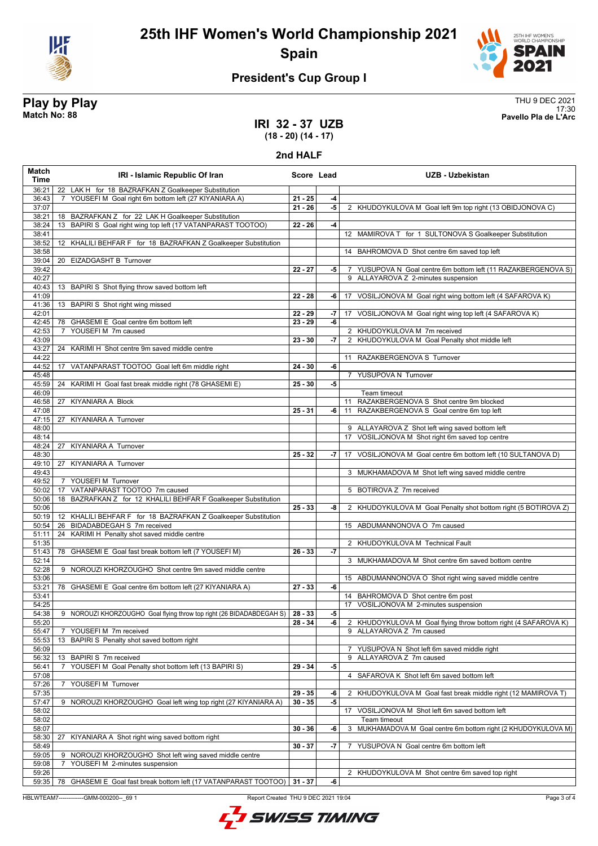



# **President's Cup Group I**

**Play by Play**<br>Match No: 88<br>Pavello Pla de L'Arc 17:30 **Match No: 88 Pavello Pla de L'Arc**

### **IRI 32 - 37 UZB (18 - 20) (14 - 17)**

#### **2nd HALF**

| Match<br>Time  | IRI - Islamic Republic Of Iran                                                                                         | Score Lead |       | <b>UZB - Uzbekistan</b>                                        |
|----------------|------------------------------------------------------------------------------------------------------------------------|------------|-------|----------------------------------------------------------------|
| 36:21          | 22 LAK H for 18 BAZRAFKAN Z Goalkeeper Substitution                                                                    |            |       |                                                                |
| 36:43          | YOUSEFIM Goal right 6m bottom left (27 KIYANIARA A)                                                                    | $21 - 25$  | -4    |                                                                |
| 37:07          |                                                                                                                        | $21 - 26$  | -5    | 2 KHUDOYKULOVA M Goal left 9m top right (13 OBIDJONOVA C)      |
| 38:21<br>38:24 | 18 BAZRAFKAN Z for 22 LAK H Goalkeeper Substitution<br>BAPIRI S Goal right wing top left (17 VATANPARAST TOOTOO)<br>13 | $22 - 26$  | -4    |                                                                |
| 38:41          |                                                                                                                        |            |       | 12 MAMIROVA T for 1 SULTONOVA S Goalkeeper Substitution        |
| 38:52          | 12 KHALILI BEHFAR F for 18 BAZRAFKAN Z Goalkeeper Substitution                                                         |            |       |                                                                |
| 38:58          |                                                                                                                        |            |       | 14 BAHROMOVA D Shot centre 6m saved top left                   |
| 39:04          | 20 EIZADGASHT B Turnover                                                                                               |            |       |                                                                |
| 39:42          |                                                                                                                        | $22 - 27$  | $-5$  | 7 YUSUPOVA N Goal centre 6m bottom left (11 RAZAKBERGENOVA S)  |
| 40:27          |                                                                                                                        |            |       | 9 ALLAYAROVA Z 2-minutes suspension                            |
| 40:43          | 13 BAPIRI S Shot flying throw saved bottom left                                                                        |            |       |                                                                |
| 41:09          |                                                                                                                        | $22 - 28$  | -6    | 17 VOSILJONOVA M Goal right wing bottom left (4 SAFAROVA K)    |
| 41:36<br>42:01 | 13 BAPIRI S Shot right wing missed                                                                                     | $22 - 29$  |       | -7   17 VOSILJONOVA M Goal right wing top left (4 SAFAROVA K)  |
| 42:45          | 78 GHASEMI E Goal centre 6m bottom left                                                                                | $23 - 29$  | -6    |                                                                |
| 42:53          | YOUSEFIM 7m caused<br>$\overline{7}$                                                                                   |            |       | 2 KHUDOYKULOVA M 7m received                                   |
| 43:09          |                                                                                                                        | $23 - 30$  | $-7$  | 2 KHUDOYKULOVA M Goal Penalty shot middle left                 |
| 43:27          | 24 KARIMI H Shot centre 9m saved middle centre                                                                         |            |       |                                                                |
| 44:22          |                                                                                                                        |            |       | 11 RAZAKBERGENOVA S Turnover                                   |
| 44:52          | 17 VATANPARAST TOOTOO Goal left 6m middle right                                                                        | $24 - 30$  | -6    |                                                                |
| 45:48          |                                                                                                                        |            |       | 7 YUSUPOVA N Turnover                                          |
| 45:59          | 24 KARIMI H Goal fast break middle right (78 GHASEMI E)                                                                | $25 - 30$  | -5    |                                                                |
| 46:09<br>46:58 | KIYANIARA A Block                                                                                                      |            |       | Team timeout<br>11 RAZAKBERGENOVA S Shot centre 9m blocked     |
| 47:08          | 27                                                                                                                     | $25 - 31$  | -6    | 11 RAZAKBERGENOVA S Goal centre 6m top left                    |
| 47:15          | 27 KIYANIARA A Turnover                                                                                                |            |       |                                                                |
| 48:00          |                                                                                                                        |            |       | 9 ALLAYAROVA Z Shot left wing saved bottom left                |
| 48:14          |                                                                                                                        |            |       | 17 VOSILJONOVA M Shot right 6m saved top centre                |
| 48:24          | KIYANIARA A Turnover<br>27                                                                                             |            |       |                                                                |
| 48:30          |                                                                                                                        | $25 - 32$  | $-71$ | 17 VOSILJONOVA M Goal centre 6m bottom left (10 SULTANOVA D)   |
| 49:10          | 27 KIYANIARA A Turnover                                                                                                |            |       |                                                                |
| 49:43          |                                                                                                                        |            |       | 3 MUKHAMADOVA M Shot left wing saved middle centre             |
| 49:52          | 7 YOUSEFIM Turnover                                                                                                    |            |       |                                                                |
| 50:02<br>50:06 | VATANPARAST TOOTOO 7m caused<br>17<br>18 BAZRAFKAN Z for 12 KHALILI BEHFAR F Goalkeeper Substitution                   |            |       | 5 BOTIROVA Z 7m received                                       |
| 50:06          |                                                                                                                        | $25 - 33$  | -8    | 2 KHUDOYKULOVA M Goal Penalty shot bottom right (5 BOTIROVA Z) |
| 50:19          | 12 KHALILI BEHFAR F for 18 BAZRAFKAN Z Goalkeeper Substitution                                                         |            |       |                                                                |
| 50:54          | BIDADABDEGAH S 7m received<br>26                                                                                       |            |       | 15 ABDUMANNONOVA O 7m caused                                   |
| 51:11          | 24 KARIMI H Penalty shot saved middle centre                                                                           |            |       |                                                                |
| 51:35          |                                                                                                                        |            |       | 2 KHUDOYKULOVA M Technical Fault                               |
| 51:43          | 78 GHASEMI E Goal fast break bottom left (7 YOUSEFI M)                                                                 | $26 - 33$  | $-7$  |                                                                |
| 52:14          |                                                                                                                        |            |       | 3 MUKHAMADOVA M Shot centre 6m saved bottom centre             |
| 52:28          | 9 NOROUZI KHORZOUGHO Shot centre 9m saved middle centre                                                                |            |       |                                                                |
| 53:06<br>53:21 | 78 GHASEMI E Goal centre 6m bottom left (27 KIYANIARA A)                                                               | $27 - 33$  | -6    | 15 ABDUMANNONOVA O Shot right wing saved middle centre         |
| 53:41          |                                                                                                                        |            |       | 14 BAHROMOVA D Shot centre 6m post                             |
| 54:25          |                                                                                                                        |            |       | 17 VOSILJONOVA M 2-minutes suspension                          |
| 54:38          | 9 NOROUZI KHORZOUGHO Goal flying throw top right (26 BIDADABDEGAH S)   28 - 33                                         |            | -5    |                                                                |
| 55:20          |                                                                                                                        | $28 - 34$  | -6    | 2 KHUDOYKULOVA M Goal flying throw bottom right (4 SAFAROVA K) |
| 55:47          | YOUSEFIM 7m received<br>7                                                                                              |            |       | 9 ALLAYAROVA Z 7m caused                                       |
| 55:53          | BAPIRI S Penalty shot saved bottom right<br>13                                                                         |            |       |                                                                |
| 56:09          |                                                                                                                        |            |       | YUSUPOVA N Shot left 6m saved middle right<br>$\overline{7}$   |
| 56:32          | 13 BAPIRI S 7m received                                                                                                |            |       | 9 ALLAYAROVA Z 7m caused                                       |
| 56:41          | YOUSEFIM Goal Penalty shot bottom left (13 BAPIRI S)<br>$\overline{7}$                                                 | 29 - 34    | -5    |                                                                |
| 57:08<br>57:26 | YOUSEFIM Turnover<br>7                                                                                                 |            |       | 4 SAFAROVA K Shot left 6m saved bottom left                    |
| 57:35          |                                                                                                                        | $29 - 35$  | -6    | 2 KHUDOYKULOVA M Goal fast break middle right (12 MAMIROVA T)  |
| 57:47          | 9 NOROUZI KHORZOUGHO Goal left wing top right (27 KIYANIARA A)                                                         | $30 - 35$  | -5    |                                                                |
| 58:02          |                                                                                                                        |            |       | 17 VOSILJONOVA M Shot left 6m saved bottom left                |
| 58:02          |                                                                                                                        |            |       | Team timeout                                                   |
| 58:07          |                                                                                                                        | $30 - 36$  | -6    | 3 MUKHAMADOVA M Goal centre 6m bottom right (2 KHUDOYKULOVA M) |
| 58:30          | 27<br>KIYANIARA A Shot right wing saved bottom right                                                                   |            |       |                                                                |
| 58:49          |                                                                                                                        | $30 - 37$  | -7    | YUSUPOVA N Goal centre 6m bottom left<br>$\overline{7}$        |
| 59:05          | 9 NOROUZI KHORZOUGHO Shot left wing saved middle centre                                                                |            |       |                                                                |
| 59:08          | YOUSEFI M 2-minutes suspension<br>7                                                                                    |            |       |                                                                |
| 59:26<br>59:35 | 78 GHASEMI E Goal fast break bottom left (17 VATANPARAST TOOTOO)                                                       | $31 - 37$  | -6    | 2 KHUDOYKULOVA M Shot centre 6m saved top right                |
|                |                                                                                                                        |            |       |                                                                |

HBLWTEAM7--------------GMM-000200--\_69 1 Report Created THU 9 DEC 2021 19:04